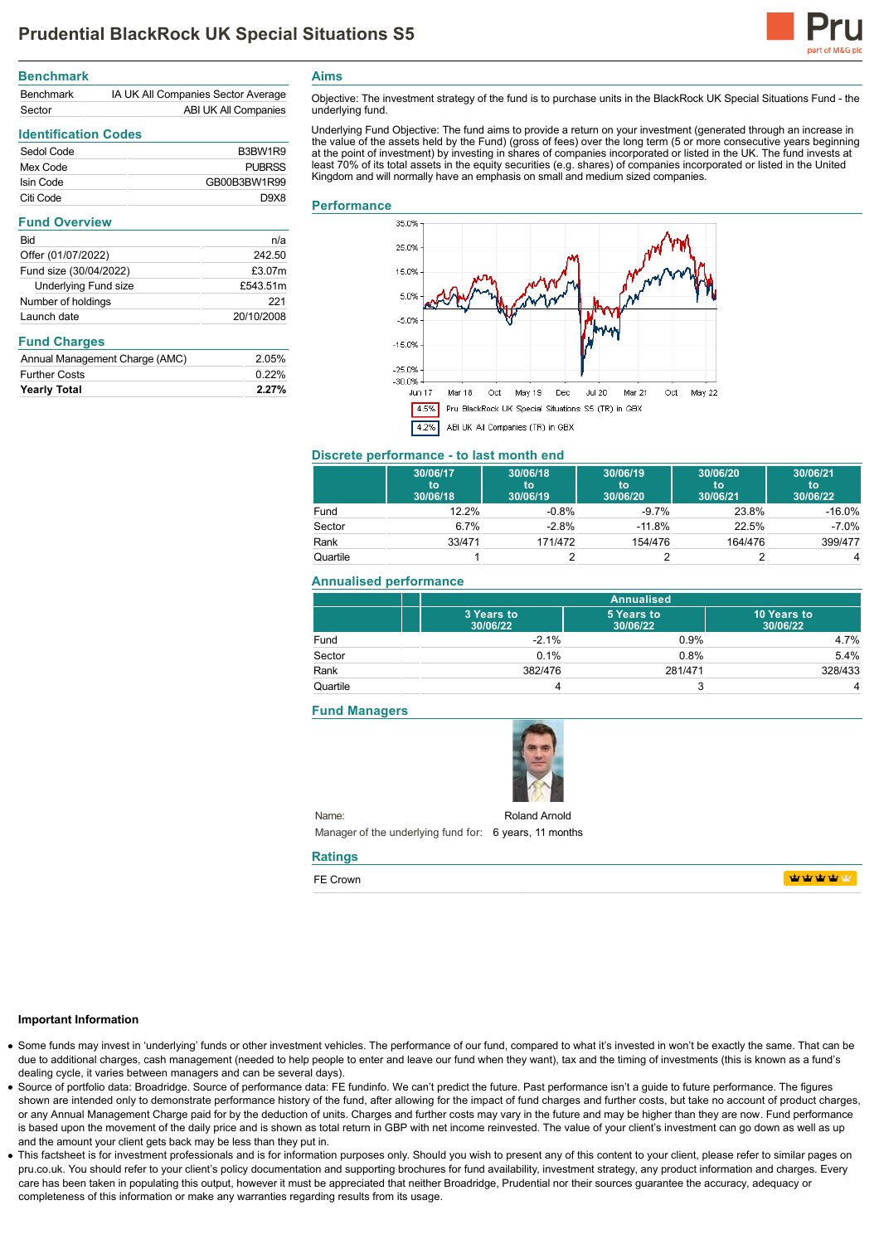

| <b>Benchmark</b> |                                    |
|------------------|------------------------------------|
| <b>Benchmark</b> | IA UK All Companies Sector Average |
| Sector           | ABI UK All Companies               |

# **Identification Codes**

| Sedol Code | B3BW1R9       |
|------------|---------------|
| Mex Code   | <b>PUBRSS</b> |
| Isin Code  | GB00B3BW1R99  |
| Citi Code  | D.9X8         |

#### **Fund Overview**

| Bid                         | n/a        |
|-----------------------------|------------|
| Offer (01/07/2022)          | 242.50     |
| Fund size (30/04/2022)      | £3.07m     |
| <b>Underlying Fund size</b> | £543.51m   |
| Number of holdings          | 221        |
| Launch date                 | 20/10/2008 |
|                             |            |

## **Fund Charges**

| <b>Yearly Total</b>            | $2.27\%$ |
|--------------------------------|----------|
| <b>Further Costs</b>           | 0.22%    |
| Annual Management Charge (AMC) | 2.05%    |

**Aims**

Objective: The investment strategy of the fund is to purchase units in the BlackRock UK Special Situations Fund - the underlying fund.

Underlying Fund Objective: The fund aims to provide a return on your investment (generated through an increase in the value of the assets held by the Fund) (gross of fees) over the long term (5 or more consecutive years beginning at the point of investment) by investing in shares of companies incorporated or listed in the UK. The fund invests at least 70% of its total assets in the equity securities (e.g. shares) of companies incorporated or listed in the United Kingdom and will normally have an emphasis on small and medium sized companies.

#### **Performance**



#### **Discrete performance - to last month end**

|          | 30/06/17<br>to<br>30/06/18 | 30/06/18<br>to<br>30/06/19 | 30/06/19<br>to<br>30/06/20 | 30/06/20<br>to<br>30/06/21 | 30/06/21<br>to<br>30/06/22 |
|----------|----------------------------|----------------------------|----------------------------|----------------------------|----------------------------|
| Fund     | 12.2%                      | $-0.8\%$                   | $-9.7%$                    | 23.8%                      | $-16.0\%$                  |
| Sector   | 6.7%                       | $-2.8%$                    | $-11.8%$                   | 22.5%                      | $-7.0\%$                   |
| Rank     | 33/471                     | 171/472                    | 154/476                    | 164/476                    | 399/477                    |
| Quartile |                            |                            |                            |                            | 4                          |

## **Annualised performance**

|          | <b>Annualised</b>      |                        |                         |
|----------|------------------------|------------------------|-------------------------|
|          | 3 Years to<br>30/06/22 | 5 Years to<br>30/06/22 | 10 Years to<br>30/06/22 |
| Fund     | $-2.1%$                | 0.9%                   | 4.7%                    |
| Sector   | 0.1%                   | 0.8%                   | 5.4%                    |
| Rank     | 382/476                | 281/471                | 328/433                 |
| Quartile |                        | ≏                      | 4                       |

#### **Fund Managers**



Name: Manager of the underlying fund for: 6 years, 11 months Roland Arnold

## **Ratings**

FE Crown

**WWWW** 

#### **Important Information**

- Some funds may invest in 'underlying' funds or other investment vehicles. The performance of our fund, compared to what it's invested in won't be exactly the same. That can be due to additional charges, cash management (needed to help people to enter and leave our fund when they want), tax and the timing of investments (this is known as a fund's dealing cycle, it varies between managers and can be several days).
- Source of portfolio data: Broadridge. Source of performance data: FE fundinfo. We can't predict the future. Past performance isn't a guide to future performance. The figures shown are intended only to demonstrate performance history of the fund, after allowing for the impact of fund charges and further costs, but take no account of product charges, or any Annual Management Charge paid for by the deduction of units. Charges and further costs may vary in the future and may be higher than they are now. Fund performance is based upon the movement of the daily price and is shown as total return in GBP with net income reinvested. The value of your client's investment can go down as well as up and the amount your client gets back may be less than they put in.
- This factsheet is for investment professionals and is for information purposes only. Should you wish to present any of this content to your client, please refer to similar pages on pru.co.uk. You should refer to your client's policy documentation and supporting brochures for fund availability, investment strategy, any product information and charges. Every care has been taken in populating this output, however it must be appreciated that neither Broadridge. Prudential nor their sources guarantee the accuracy, adequacy or completeness of this information or make any warranties regarding results from its usage.